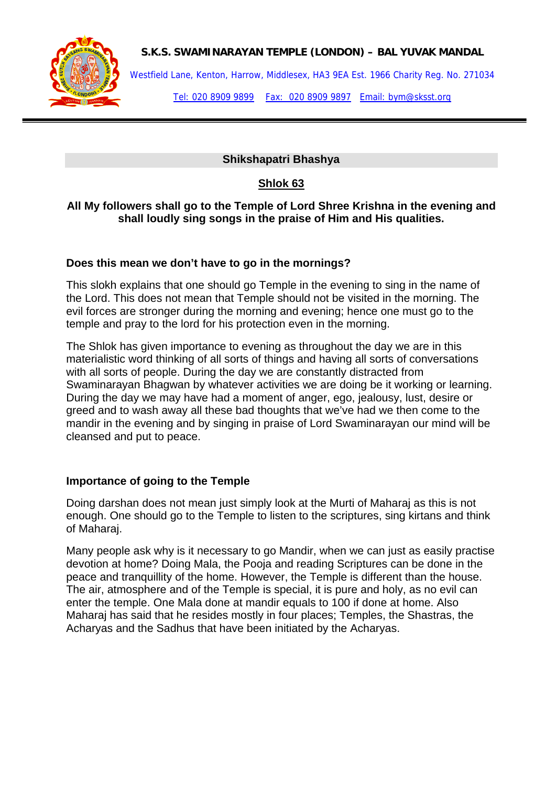

### **S.K.S. SWAMINARAYAN TEMPLE (LONDON) – BAL YUVAK MANDAL**

Westfield Lane, Kenton, Harrow, Middlesex, HA3 9EA Est. 1966 Charity Reg. No. 271034

Tel: 020 8909 9899 Fax: 020 8909 9897 Email: bym@sksst.org

## **Shikshapatri Bhashya**

## **Shlok 63**

### **All My followers shall go to the Temple of Lord Shree Krishna in the evening and shall loudly sing songs in the praise of Him and His qualities.**

#### **Does this mean we don't have to go in the mornings?**

This slokh explains that one should go Temple in the evening to sing in the name of the Lord. This does not mean that Temple should not be visited in the morning. The evil forces are stronger during the morning and evening; hence one must go to the temple and pray to the lord for his protection even in the morning.

The Shlok has given importance to evening as throughout the day we are in this materialistic word thinking of all sorts of things and having all sorts of conversations with all sorts of people. During the day we are constantly distracted from Swaminarayan Bhagwan by whatever activities we are doing be it working or learning. During the day we may have had a moment of anger, ego, jealousy, lust, desire or greed and to wash away all these bad thoughts that we've had we then come to the mandir in the evening and by singing in praise of Lord Swaminarayan our mind will be cleansed and put to peace.

### **Importance of going to the Temple**

Doing darshan does not mean just simply look at the Murti of Maharaj as this is not enough. One should go to the Temple to listen to the scriptures, sing kirtans and think of Maharaj.

Many people ask why is it necessary to go Mandir, when we can just as easily practise devotion at home? Doing Mala, the Pooja and reading Scriptures can be done in the peace and tranquillity of the home. However, the Temple is different than the house. The air, atmosphere and of the Temple is special, it is pure and holy, as no evil can enter the temple. One Mala done at mandir equals to 100 if done at home. Also Maharaj has said that he resides mostly in four places; Temples, the Shastras, the Acharyas and the Sadhus that have been initiated by the Acharyas.